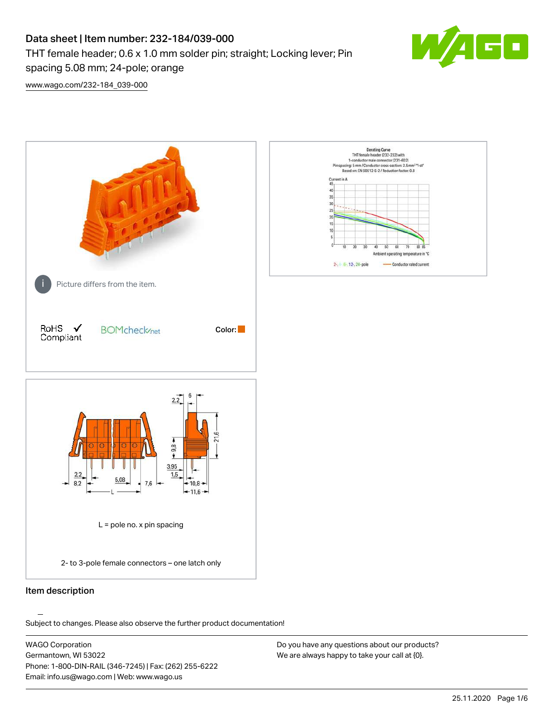# Data sheet | Item number: 232-184/039-000 THT female header; 0.6 x 1.0 mm solder pin; straight; Locking lever; Pin spacing 5.08 mm; 24-pole; orange



[www.wago.com/232-184\\_039-000](http://www.wago.com/232-184_039-000)



.<br>Subject to changes. Please also observe the further product documentation!

WAGO Corporation Germantown, WI 53022 Phone: 1-800-DIN-RAIL (346-7245) | Fax: (262) 255-6222 Email: info.us@wago.com | Web: www.wago.us

Do you have any questions about our products? We are always happy to take your call at {0}.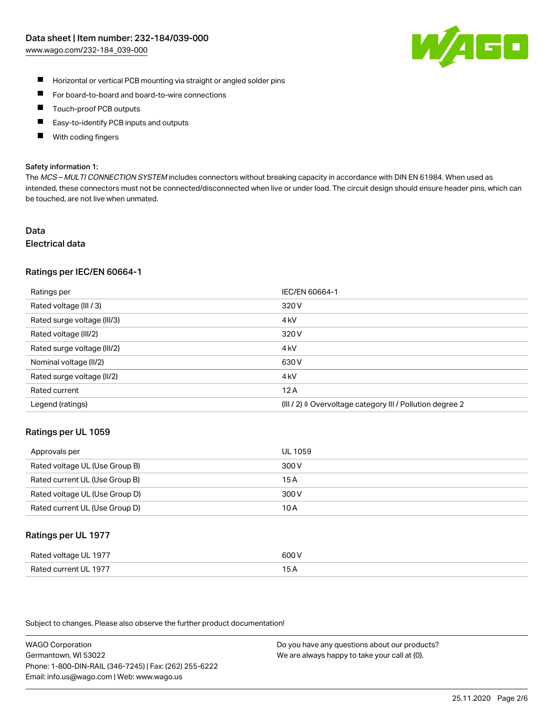

- $\blacksquare$ Horizontal or vertical PCB mounting via straight or angled solder pins
- $\blacksquare$ For board-to-board and board-to-wire connections
- Touch-proof PCB outputs  $\blacksquare$
- П Easy-to-identify PCB inputs and outputs
- П With coding fingers

#### Safety information 1:

The MCS - MULTI CONNECTION SYSTEM includes connectors without breaking capacity in accordance with DIN EN 61984. When used as intended, these connectors must not be connected/disconnected when live or under load. The circuit design should ensure header pins, which can be touched, are not live when unmated.

## Data Electrical data

## Ratings per IEC/EN 60664-1

| Ratings per                 | IEC/EN 60664-1                                                       |
|-----------------------------|----------------------------------------------------------------------|
| Rated voltage (III / 3)     | 320 V                                                                |
| Rated surge voltage (III/3) | 4 <sub>k</sub> V                                                     |
| Rated voltage (III/2)       | 320 V                                                                |
| Rated surge voltage (III/2) | 4 <sub>kV</sub>                                                      |
| Nominal voltage (II/2)      | 630 V                                                                |
| Rated surge voltage (II/2)  | 4 <sub>k</sub> V                                                     |
| Rated current               | 12A                                                                  |
| Legend (ratings)            | (III / 2) $\triangleq$ Overvoltage category III / Pollution degree 2 |

## Ratings per UL 1059

| Approvals per                  | UL 1059 |
|--------------------------------|---------|
| Rated voltage UL (Use Group B) | 300 V   |
| Rated current UL (Use Group B) | 15 A    |
| Rated voltage UL (Use Group D) | 300 V   |
| Rated current UL (Use Group D) | 10 A    |

## Ratings per UL 1977

| Rated voltage UL 1977    | coo V       |
|--------------------------|-------------|
| Current UL 1977<br>Rated | ، ت<br>____ |

Subject to changes. Please also observe the further product documentation!

WAGO Corporation Germantown, WI 53022 Phone: 1-800-DIN-RAIL (346-7245) | Fax: (262) 255-6222 Email: info.us@wago.com | Web: www.wago.us

Do you have any questions about our products? We are always happy to take your call at {0}.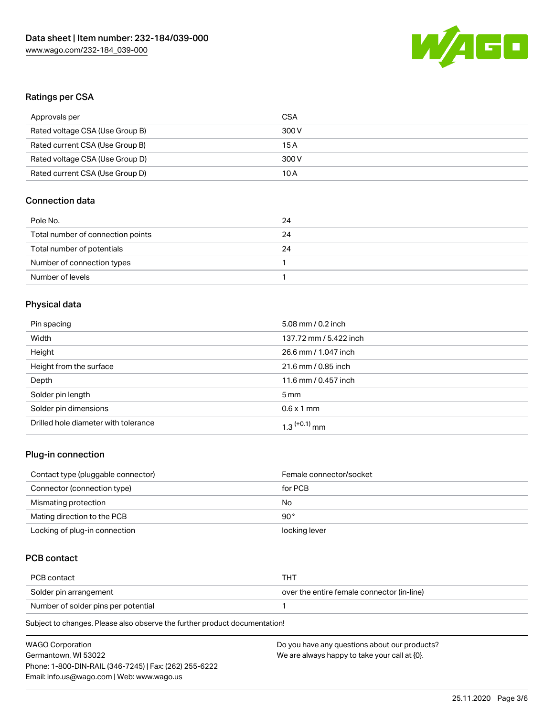

# Ratings per CSA

| Approvals per                   | CSA   |
|---------------------------------|-------|
| Rated voltage CSA (Use Group B) | 300 V |
| Rated current CSA (Use Group B) | 15 A  |
| Rated voltage CSA (Use Group D) | 300 V |
| Rated current CSA (Use Group D) | 10 A  |

# Connection data

| Pole No.                          | 24 |
|-----------------------------------|----|
| Total number of connection points | 24 |
| Total number of potentials        | 24 |
| Number of connection types        |    |
| Number of levels                  |    |

# Physical data

| Pin spacing                          | 5.08 mm / 0.2 inch         |
|--------------------------------------|----------------------------|
| Width                                | 137.72 mm / 5.422 inch     |
| Height                               | 26.6 mm / 1.047 inch       |
| Height from the surface              | 21.6 mm / 0.85 inch        |
| Depth                                | 11.6 mm / 0.457 inch       |
| Solder pin length                    | $5 \,\mathrm{mm}$          |
| Solder pin dimensions                | $0.6 \times 1$ mm          |
| Drilled hole diameter with tolerance | $1.3$ <sup>(+0.1)</sup> mm |

# Plug-in connection

| Contact type (pluggable connector) | Female connector/socket |
|------------------------------------|-------------------------|
| Connector (connection type)        | for PCB                 |
| Mismating protection               | No                      |
| Mating direction to the PCB        | 90 $^{\circ}$           |
| Locking of plug-in connection      | locking lever           |

# PCB contact

| PCB contact                         | THT                                        |
|-------------------------------------|--------------------------------------------|
| Solder pin arrangement              | over the entire female connector (in-line) |
| Number of solder pins per potential |                                            |

Subject to changes. Please also observe the further product documentation!

| <b>WAGO Corporation</b>                                | Do you have any questions about our products? |
|--------------------------------------------------------|-----------------------------------------------|
| Germantown, WI 53022                                   | We are always happy to take your call at {0}. |
| Phone: 1-800-DIN-RAIL (346-7245)   Fax: (262) 255-6222 |                                               |
| Email: info.us@wago.com   Web: www.wago.us             |                                               |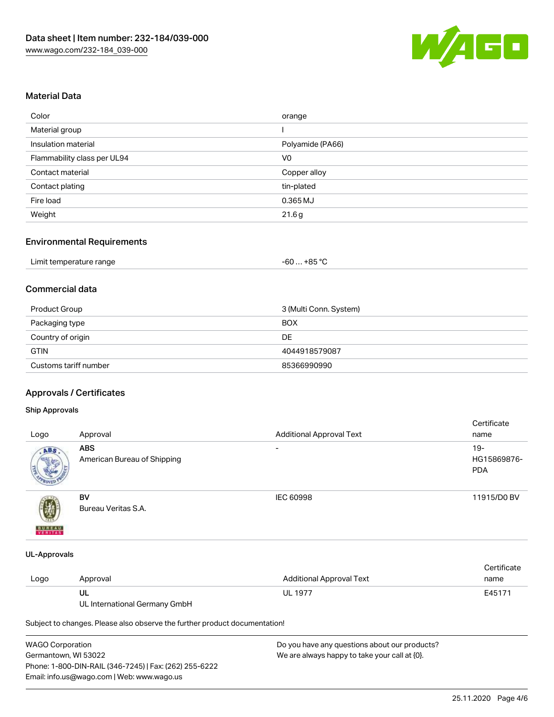

# Material Data

| Color                       | orange           |
|-----------------------------|------------------|
| Material group              |                  |
| Insulation material         | Polyamide (PA66) |
| Flammability class per UL94 | V <sub>0</sub>   |
| Contact material            | Copper alloy     |
| Contact plating             | tin-plated       |
| Fire load                   | 0.365 MJ         |
| Weight                      | 21.6g            |

#### Environmental Requirements

| Limit temperature range | $-60+85 °C$ |
|-------------------------|-------------|
|-------------------------|-------------|

# Commercial data

| Product Group         | 3 (Multi Conn. System) |
|-----------------------|------------------------|
| Packaging type        | <b>BOX</b>             |
| Country of origin     | DE                     |
| <b>GTIN</b>           | 4044918579087          |
| Customs tariff number | 85366990990            |

# Approvals / Certificates

## Ship Approvals

| Logo          | Approval                                  | <b>Additional Approval Text</b> | Certificate<br>name                |
|---------------|-------------------------------------------|---------------------------------|------------------------------------|
| ABS           | <b>ABS</b><br>American Bureau of Shipping | $\overline{\phantom{a}}$        | $19-$<br>HG15869876-<br><b>PDA</b> |
| <b>BUREAU</b> | BV<br>Bureau Veritas S.A.                 | IEC 60998                       | 11915/D0 BV                        |

#### UL-Approvals

|      |          |                          | Certificate |
|------|----------|--------------------------|-------------|
| Logo | Approval | Additional Approval Text | name        |
|      | UL       | <b>UL 1977</b>           | E45171      |

UL International Germany GmbH

Subject to changes. Please also observe the further product documentation!

| WAGO Corporation                                       | Do you have any questions about our products? |
|--------------------------------------------------------|-----------------------------------------------|
| Germantown. WI 53022                                   | We are always happy to take your call at {0}. |
| Phone: 1-800-DIN-RAIL (346-7245)   Fax: (262) 255-6222 |                                               |
| Email: info.us@wago.com   Web: www.wago.us             |                                               |
|                                                        |                                               |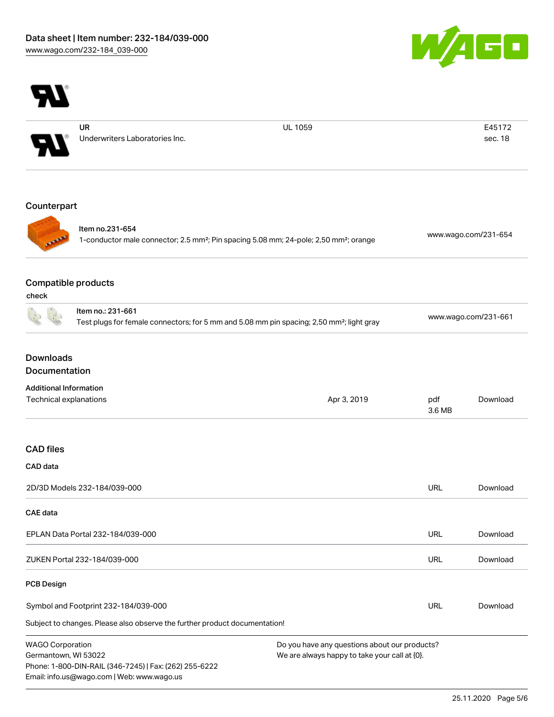



UR Underwriters Laboratories Inc. UL 1059 E45172

sec. 18

# Counterpart



Item no.231-654 1-conductor male connector; 2.5 mm²; Pin spacing 5.08 mm; 24-pole; 2,50 mm²; orange [www.wago.com/231-654](https://www.wago.com/231-654)

# Compatible products

| ×<br>۰, | ×<br>۰.<br>× | ۰, |  |
|---------|--------------|----|--|

|                                                 | Item no.: 231-661                                                          | Test plugs for female connectors; for 5 mm and 5.08 mm pin spacing; 2,50 mm <sup>2</sup> ; light gray |               | www.wago.com/231-661 |  |
|-------------------------------------------------|----------------------------------------------------------------------------|-------------------------------------------------------------------------------------------------------|---------------|----------------------|--|
| <b>Downloads</b>                                |                                                                            |                                                                                                       |               |                      |  |
| Documentation                                   |                                                                            |                                                                                                       |               |                      |  |
| <b>Additional Information</b>                   |                                                                            |                                                                                                       |               |                      |  |
| Technical explanations                          |                                                                            | Apr 3, 2019                                                                                           | pdf<br>3.6 MB | Download             |  |
| <b>CAD files</b>                                |                                                                            |                                                                                                       |               |                      |  |
| CAD data                                        |                                                                            |                                                                                                       |               |                      |  |
|                                                 | 2D/3D Models 232-184/039-000                                               |                                                                                                       | <b>URL</b>    | Download             |  |
| <b>CAE</b> data                                 |                                                                            |                                                                                                       |               |                      |  |
|                                                 | EPLAN Data Portal 232-184/039-000                                          |                                                                                                       | <b>URL</b>    | Download             |  |
|                                                 | ZUKEN Portal 232-184/039-000                                               |                                                                                                       | URL           | Download             |  |
| <b>PCB Design</b>                               |                                                                            |                                                                                                       |               |                      |  |
| Symbol and Footprint 232-184/039-000            |                                                                            | <b>URL</b>                                                                                            | Download      |                      |  |
|                                                 | Subject to changes. Please also observe the further product documentation! |                                                                                                       |               |                      |  |
| <b>WAGO Corporation</b><br>Germantown, WI 53022 | Phone: 1-800-DIN-RAIL (346-7245)   Fax: (262) 255-6222                     | Do you have any questions about our products?<br>We are always happy to take your call at {0}.        |               |                      |  |

Email: info.us@wago.com | Web: www.wago.us